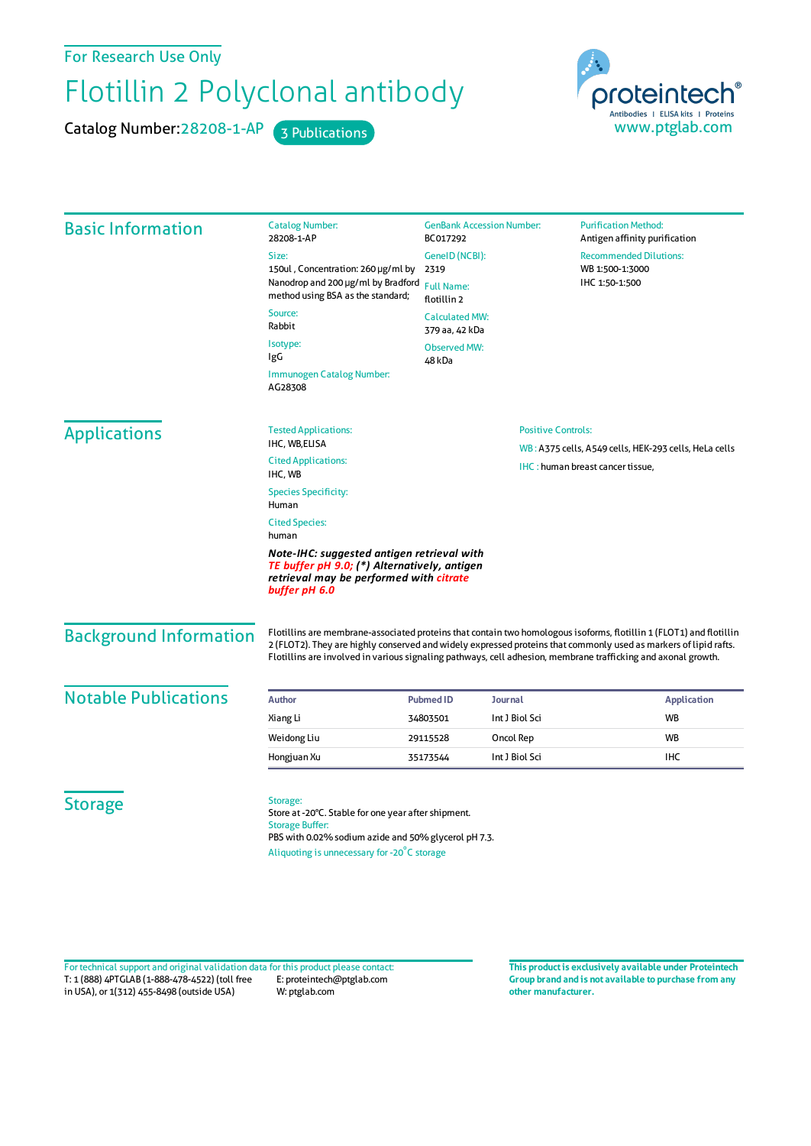For Research Use Only

## Flotillin 2 Polyclonal antibody

Catalog Number: 28208-1-AP 3 Publications



| <b>Basic Information</b>      | <b>Catalog Number:</b><br>28208-1-AP                                                                                                                   | <b>GenBank Accession Number:</b><br>BC017292 |                                                       | <b>Purification Method:</b><br>Antigen affinity purification                                                                                                                                                                            |  |  |
|-------------------------------|--------------------------------------------------------------------------------------------------------------------------------------------------------|----------------------------------------------|-------------------------------------------------------|-----------------------------------------------------------------------------------------------------------------------------------------------------------------------------------------------------------------------------------------|--|--|
|                               | Size:                                                                                                                                                  | GeneID (NCBI):                               |                                                       | <b>Recommended Dilutions:</b>                                                                                                                                                                                                           |  |  |
|                               | 150ul, Concentration: 260 µg/ml by                                                                                                                     | 2319<br><b>Full Name:</b><br>flotillin 2     |                                                       | WB 1:500-1:3000<br>IHC 1:50-1:500                                                                                                                                                                                                       |  |  |
|                               | Nanodrop and 200 µg/ml by Bradford<br>method using BSA as the standard;                                                                                |                                              |                                                       |                                                                                                                                                                                                                                         |  |  |
|                               | Source:<br>Rabbit                                                                                                                                      | <b>Calculated MW:</b><br>379 aa, 42 kDa      |                                                       |                                                                                                                                                                                                                                         |  |  |
|                               | Isotype:<br>IgG                                                                                                                                        | <b>Observed MW:</b><br>48 kDa                |                                                       |                                                                                                                                                                                                                                         |  |  |
|                               | Immunogen Catalog Number:<br>AG28308                                                                                                                   |                                              |                                                       |                                                                                                                                                                                                                                         |  |  |
| <b>Applications</b>           | <b>Tested Applications:</b>                                                                                                                            |                                              | <b>Positive Controls:</b>                             |                                                                                                                                                                                                                                         |  |  |
|                               | IHC, WB,ELISA                                                                                                                                          |                                              | WB: A375 cells, A549 cells, HEK-293 cells, HeLa cells |                                                                                                                                                                                                                                         |  |  |
|                               | <b>Cited Applications:</b><br>IHC, WB                                                                                                                  |                                              |                                                       | IHC: human breast cancer tissue,                                                                                                                                                                                                        |  |  |
|                               | <b>Species Specificity:</b><br>Human                                                                                                                   |                                              |                                                       |                                                                                                                                                                                                                                         |  |  |
|                               | <b>Cited Species:</b><br>human                                                                                                                         |                                              |                                                       |                                                                                                                                                                                                                                         |  |  |
|                               | Note-IHC: suggested antigen retrieval with<br>TE buffer pH 9.0; (*) Alternatively, antigen<br>retrieval may be performed with citrate<br>buffer pH 6.0 |                                              |                                                       |                                                                                                                                                                                                                                         |  |  |
| <b>Background Information</b> | Flotillins are involved in various signaling pathways, cell adhesion, membrane trafficking and axonal growth.                                          |                                              |                                                       | Flotillins are membrane-associated proteins that contain two homologous isoforms, flotillin 1 (FLOT1) and flotillin<br>2 (FLOT2). They are highly conserved and widely expressed proteins that commonly used as markers of lipid rafts. |  |  |
| <b>Notable Publications</b>   | <b>Author</b>                                                                                                                                          | <b>Journal</b><br><b>Pubmed ID</b>           |                                                       | <b>Application</b>                                                                                                                                                                                                                      |  |  |
|                               | Xiang Li                                                                                                                                               | 34803501                                     | Int J Biol Sci                                        | <b>WB</b>                                                                                                                                                                                                                               |  |  |
|                               | Weidong Liu                                                                                                                                            | 29115528                                     | Oncol Rep                                             | <b>WB</b>                                                                                                                                                                                                                               |  |  |
|                               | Hongjuan Xu                                                                                                                                            | 35173544                                     | Int J Biol Sci                                        | IHC                                                                                                                                                                                                                                     |  |  |
| <b>Storage</b>                | Storage:<br>Store at -20°C. Stable for one year after shipment.<br><b>Storage Buffer:</b><br>PBS with 0.02% sodium azide and 50% glycerol pH 7.3.      |                                              |                                                       |                                                                                                                                                                                                                                         |  |  |

Aliquoting is unnecessary for -20<sup>°</sup>C storage

T: 1 (888) 4PTGLAB (1-888-478-4522) (toll free in USA), or 1(312) 455-8498 (outside USA) E: proteintech@ptglab.com W: ptglab.com Fortechnical support and original validation data forthis product please contact: **This productis exclusively available under Proteintech**

**Group brand and is not available to purchase from any other manufacturer.**